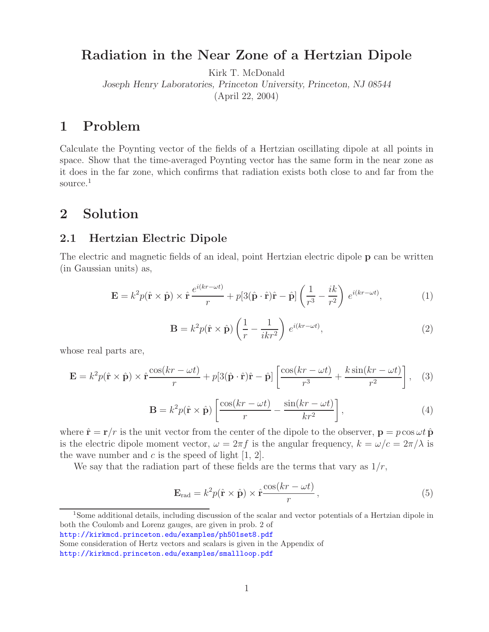# **Radiation in the Near Zone of a Hertzian Dipole**

Kirk T. McDonald

*Joseph Henry Laboratories, Princeton University, Princeton, NJ 08544*

(April 22, 2004)

# **1 Problem**

Calculate the Poynting vector of the fields of a Hertzian oscillating dipole at all points in space. Show that the time-averaged Poynting vector has the same form in the near zone as it does in the far zone, which confirms that radiation exists both close to and far from the source.<sup>1</sup>

# **2 Solution**

### **2.1 Hertzian Electric Dipole**

The electric and magnetic fields of an ideal, point Hertzian electric dipole **p** can be written (in Gaussian units) as,

$$
\mathbf{E} = k^2 p(\hat{\mathbf{r}} \times \hat{\mathbf{p}}) \times \hat{\mathbf{r}} \frac{e^{i(kr - \omega t)}}{r} + p[3(\hat{\mathbf{p}} \cdot \hat{\mathbf{r}})\hat{\mathbf{r}} - \hat{\mathbf{p}}] \left(\frac{1}{r^3} - \frac{ik}{r^2}\right) e^{i(kr - \omega t)},\tag{1}
$$

$$
\mathbf{B} = k^2 p(\hat{\mathbf{r}} \times \hat{\mathbf{p}}) \left( \frac{1}{r} - \frac{1}{ikr^2} \right) e^{i(kr - \omega t)}, \tag{2}
$$

whose real parts are,

$$
\mathbf{E} = k^2 p(\hat{\mathbf{r}} \times \hat{\mathbf{p}}) \times \hat{\mathbf{r}} \frac{\cos(kr - \omega t)}{r} + p[3(\hat{\mathbf{p}} \cdot \hat{\mathbf{r}})\hat{\mathbf{r}} - \hat{\mathbf{p}}] \left[ \frac{\cos(kr - \omega t)}{r^3} + \frac{k \sin(kr - \omega t)}{r^2} \right], \quad (3)
$$

$$
\mathbf{B} = k^2 p(\hat{\mathbf{r}} \times \hat{\mathbf{p}}) \left[ \frac{\cos(kr - \omega t)}{r} - \frac{\sin(kr - \omega t)}{kr^2} \right],\tag{4}
$$

where  $\hat{\mathbf{r}} = \mathbf{r}/r$  is the unit vector from the center of the dipole to the observer,  $\mathbf{p} = p \cos \omega t \hat{\mathbf{p}}$ is the electric dipole moment vector,  $\omega = 2\pi f$  is the angular frequency,  $k = \omega/c = 2\pi/\lambda$  is the wave number and  $c$  is the speed of light  $[1, 2]$ .

We say that the radiation part of these fields are the terms that vary as  $1/r$ ,

$$
\mathbf{E}_{\rm rad} = k^2 p(\hat{\mathbf{r}} \times \hat{\mathbf{p}}) \times \hat{\mathbf{r}} \frac{\cos(kr - \omega t)}{r}, \qquad (5)
$$

Some consideration of Hertz vectors and scalars is given in the Appendix of

<sup>1</sup>Some additional details, including discussion of the scalar and vector potentials of a Hertzian dipole in both the Coulomb and Lorenz gauges, are given in prob. 2 of

http://kirkmcd.princeton.edu/examples/ph501set8.pdf

http://kirkmcd.princeton.edu/examples/smallloop.pdf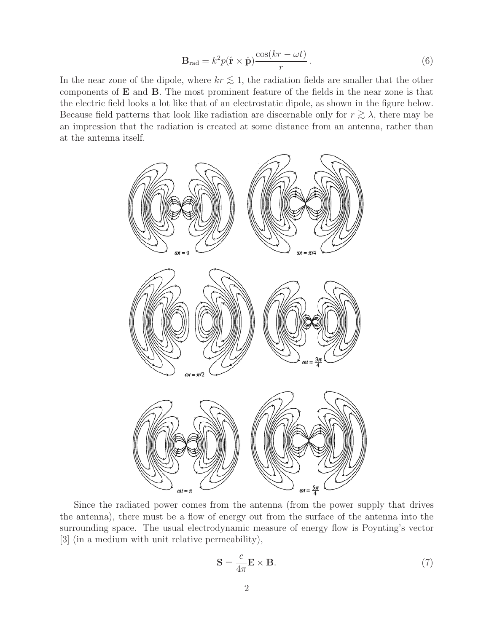$$
\mathbf{B}_{\rm rad} = k^2 p(\hat{\mathbf{r}} \times \hat{\mathbf{p}}) \frac{\cos(kr - \omega t)}{r}.
$$
 (6)

In the near zone of the dipole, where  $kr \lesssim 1$ , the radiation fields are smaller that the other components of **E** and **B**. The most prominent feature of the fields in the near zone is that the electric field looks a lot like that of an electrostatic dipole, as shown in the figure below. Because field patterns that look like radiation are discernable only for  $r \gtrsim \lambda$ , there may be an impression that the radiation is created at some distance from an antenna, rather than at the antenna itself.



Since the radiated power comes from the antenna (from the power supply that drives the antenna), there must be a flow of energy out from the surface of the antenna into the surrounding space. The usual electrodynamic measure of energy flow is Poynting's vector [3] (in a medium with unit relative permeability),

$$
\mathbf{S} = \frac{c}{4\pi} \mathbf{E} \times \mathbf{B}.
$$
 (7)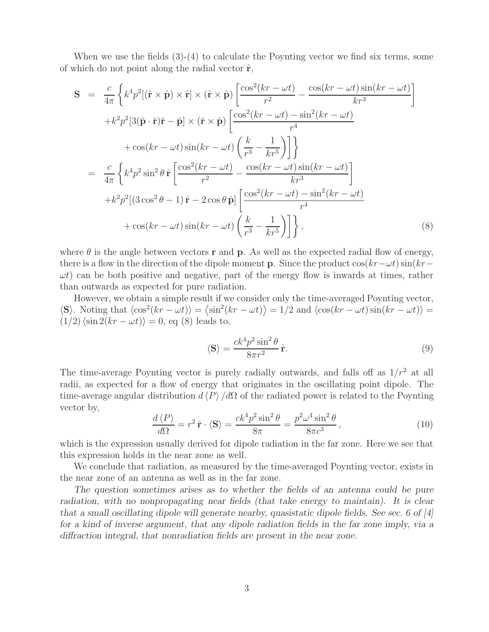When we use the fields  $(3)-(4)$  to calculate the Poynting vector we find six terms, some of which do not point along the radial vector  $\hat{\mathbf{r}}$ ,

$$
\mathbf{S} = \frac{c}{4\pi} \left\{ k^4 p^2 [(\hat{\mathbf{r}} \times \hat{\mathbf{p}}) \times \hat{\mathbf{r}}] \times (\hat{\mathbf{r}} \times \hat{\mathbf{p}}) \left[ \frac{\cos^2(kr - \omega t)}{r^2} - \frac{\cos(kr - \omega t)\sin(kr - \omega t)}{kr^3} \right] \right. \\
\left. + k^2 p^2 [3(\hat{\mathbf{p}} \cdot \hat{\mathbf{r}}) \hat{\mathbf{r}} - \hat{\mathbf{p}}] \times (\hat{\mathbf{r}} \times \hat{\mathbf{p}}) \left[ \frac{\cos^2(kr - \omega t) - \sin^2(kr - \omega t)}{r^4} \right. \\
\left. + \cos(kr - \omega t)\sin(kr - \omega t) \left( \frac{k}{r^3} - \frac{1}{kr^5} \right) \right] \right\}
$$
\n
$$
= \frac{c}{4\pi} \left\{ k^4 p^2 \sin^2 \theta \, \hat{\mathbf{r}} \left[ \frac{\cos^2(kr - \omega t)}{r^2} - \frac{\cos(kr - \omega t)\sin(kr - \omega t)}{kr^3} \right] \right. \\
\left. + k^2 p^2 [(3\cos^2 \theta - 1)\hat{\mathbf{r}} - 2\cos \theta \, \hat{\mathbf{p}}] \left[ \frac{\cos^2(kr - \omega t) - \sin^2(kr - \omega t)}{r^4} \right. \\
\left. + \cos(kr - \omega t)\sin(kr - \omega t) \left( \frac{k}{r^3} - \frac{1}{kr^5} \right) \right] \right\},
$$
\n(8)

where  $\theta$  is the angle between vectors **r** and **p**. As well as the expected radial flow of energy, there is a flow in the direction of the dipole moment **p**. Since the product  $\cos(kr-\omega t)\sin(kr-\omega t)$  $\omega t$ ) can be both positive and negative, part of the energy flow is inwards at times, rather than outwards as expected for pure radiation.

However, we obtain a simple result if we consider only the time-averaged Poynting vector,  $\langle \mathbf{S} \rangle$ . Noting that  $\langle \cos^2(kr - \omega t) \rangle = \langle \sin^2(kr - \omega t) \rangle = 1/2$  and  $\langle \cos(kr - \omega t) \sin(kr - \omega t) \rangle =$  $(1/2)\langle \sin 2(kr - \omega t) \rangle = 0$ , eq (8) leads to,

$$
\langle \mathbf{S} \rangle = \frac{ck^4 p^2 \sin^2 \theta}{8\pi r^2} \,\hat{\mathbf{r}}.\tag{9}
$$

The time-average Poynting vector is purely radially outwards, and falls off as  $1/r^2$  at all radii, as expected for a flow of energy that originates in the oscillating point dipole. The time-average angular distribution  $d \langle P \rangle / d\Omega$  of the radiated power is related to the Poynting vector by,

$$
\frac{d\langle P\rangle}{d\Omega} = r^2 \hat{\mathbf{r}} \cdot \langle \mathbf{S} \rangle = \frac{ck^4 p^2 \sin^2 \theta}{8\pi} = \frac{p^2 \omega^4 \sin^2 \theta}{8\pi c^3},\tag{10}
$$

which is the expression usually derived for dipole radiation in the far zone. Here we see that this expression holds in the near zone as well.

We conclude that radiation, as measured by the time-averaged Poynting vector, exists in the near zone of an antenna as well as in the far zone.

*The question sometimes arises as to whether the fields of an antenna could be pure radiation, with no nonpropagating near fields (that take energy to maintain). It is clear that a small oscillating dipole will generate nearby, quasistatic dipole fields. See sec. 6 of [4] for a kind of inverse argument, that any dipole radiation fields in the far zone imply, via a diffraction integral, that nonradiation fields are present in the near zone.*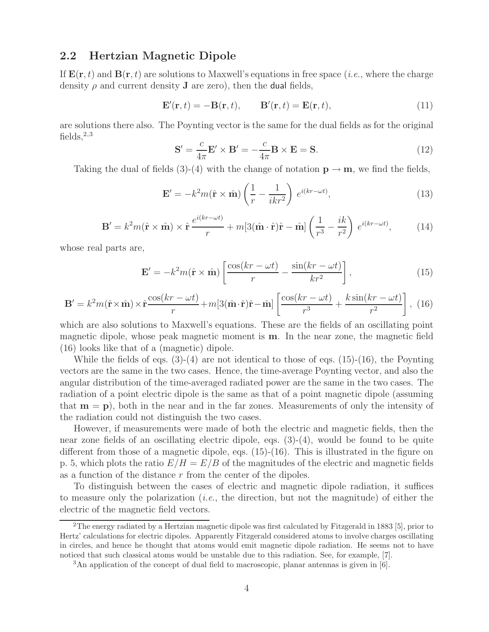#### **2.2 Hertzian Magnetic Dipole**

If  $\mathbf{E}(\mathbf{r},t)$  and  $\mathbf{B}(\mathbf{r},t)$  are solutions to Maxwell's equations in free space (*i.e.*, where the charge density  $\rho$  and current density **J** are zero), then the **dual** fields,

$$
\mathbf{E}'(\mathbf{r},t) = -\mathbf{B}(\mathbf{r},t), \qquad \mathbf{B}'(\mathbf{r},t) = \mathbf{E}(\mathbf{r},t), \tag{11}
$$

are solutions there also. The Poynting vector is the same for the dual fields as for the original fields,  $2,3$ 

$$
\mathbf{S}' = \frac{c}{4\pi} \mathbf{E}' \times \mathbf{B}' = -\frac{c}{4\pi} \mathbf{B} \times \mathbf{E} = \mathbf{S}.
$$
 (12)

Taking the dual of fields (3)-(4) with the change of notation  $\mathbf{p} \to \mathbf{m}$ , we find the fields,

$$
\mathbf{E}' = -k^2 m(\hat{\mathbf{r}} \times \hat{\mathbf{m}}) \left( \frac{1}{r} - \frac{1}{ikr^2} \right) e^{i(kr - \omega t)}, \tag{13}
$$

$$
\mathbf{B}' = k^2 m(\hat{\mathbf{r}} \times \hat{\mathbf{m}}) \times \hat{\mathbf{r}} \frac{e^{i(kr - \omega t)}}{r} + m[3(\hat{\mathbf{m}} \cdot \hat{\mathbf{r}})\hat{\mathbf{r}} - \hat{\mathbf{m}}] \left(\frac{1}{r^3} - \frac{ik}{r^2}\right) e^{i(kr - \omega t)},
$$
(14)

whose real parts are,

$$
\mathbf{E}' = -k^2 m(\hat{\mathbf{r}} \times \hat{\mathbf{m}}) \left[ \frac{\cos(kr - \omega t)}{r} - \frac{\sin(kr - \omega t)}{kr^2} \right],\tag{15}
$$

$$
\mathbf{B}' = k^2 m(\hat{\mathbf{r}} \times \hat{\mathbf{m}}) \times \hat{\mathbf{r}} \frac{\cos(kr - \omega t)}{r} + m[3(\hat{\mathbf{m}} \cdot \hat{\mathbf{r}})\hat{\mathbf{r}} - \hat{\mathbf{m}}] \left[ \frac{\cos(kr - \omega t)}{r^3} + \frac{k \sin(kr - \omega t)}{r^2} \right], \tag{16}
$$

which are also solutions to Maxwell's equations. These are the fields of an oscillating point magnetic dipole, whose peak magnetic moment is **m**. In the near zone, the magnetic field (16) looks like that of a (magnetic) dipole.

While the fields of eqs.  $(3)-(4)$  are not identical to those of eqs.  $(15)-(16)$ , the Poynting vectors are the same in the two cases. Hence, the time-average Poynting vector, and also the angular distribution of the time-averaged radiated power are the same in the two cases. The radiation of a point electric dipole is the same as that of a point magnetic dipole (assuming that  $\mathbf{m} = \mathbf{p}$ ), both in the near and in the far zones. Measurements of only the intensity of the radiation could not distinguish the two cases.

However, if measurements were made of both the electric and magnetic fields, then the near zone fields of an oscillating electric dipole, eqs. (3)-(4), would be found to be quite different from those of a magnetic dipole, eqs. (15)-(16). This is illustrated in the figure on p. 5, which plots the ratio  $E/H = E/B$  of the magnitudes of the electric and magnetic fields as a function of the distance  $r$  from the center of the dipoles.

To distinguish between the cases of electric and magnetic dipole radiation, it suffices to measure only the polarization (*i.e.*, the direction, but not the magnitude) of either the electric of the magnetic field vectors.

<sup>2</sup>The energy radiated by a Hertzian magnetic dipole was first calculated by Fitzgerald in 1883 [5], prior to Hertz' calculations for electric dipoles. Apparently Fitzgerald considered atoms to involve charges oscillating in circles, and hence he thought that atoms would emit magnetic dipole radiation. He seems not to have noticed that such classical atoms would be unstable due to this radiation. See, for example, [7].

<sup>3</sup>An application of the concept of dual field to macroscopic, planar antennas is given in [6].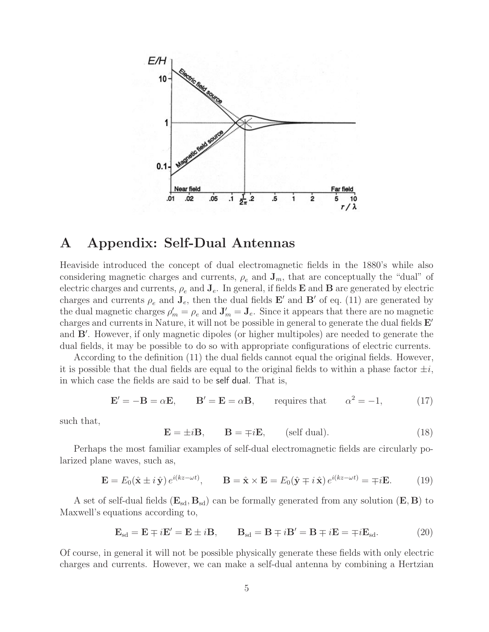

### **A Appendix: Self-Dual Antennas**

Heaviside introduced the concept of dual electromagnetic fields in the 1880's while also considering magnetic charges and currents,  $\rho_e$  and  $\mathbf{J}_m$ , that are conceptually the "dual" of electric charges and currents,  $\rho_e$  and  $\mathbf{J}_e$ . In general, if fields  $\mathbf{E}$  and  $\mathbf{B}$  are generated by electric charges and currents  $\rho_e$  and  $\mathbf{J}_e$ , then the dual fields  $\mathbf{E}'$  and  $\mathbf{B}'$  of eq. (11) are generated by the dual magnetic charges  $\rho'_m = \rho_e$  and  $\mathbf{J}'_m = \mathbf{J}_e$ . Since it appears that there are no magnetic charges and currents in Nature, it will not be possible in general to generate the dual fields **E** and **B**'. However, if only magnetic dipoles (or higher multipoles) are needed to generate the dual fields, it may be possible to do so with appropriate configurations of electric currents.

According to the definition (11) the dual fields cannot equal the original fields. However, it is possible that the dual fields are equal to the original fields to within a phase factor  $\pm i$ , in which case the fields are said to be self dual. That is,

$$
\mathbf{E}' = -\mathbf{B} = \alpha \mathbf{E}, \qquad \mathbf{B}' = \mathbf{E} = \alpha \mathbf{B}, \qquad \text{requires that} \qquad \alpha^2 = -1,\tag{17}
$$

such that,

 $\mathbf{E} = \pm i\mathbf{B}$ ,  $\mathbf{B} = \mp i\mathbf{E}$ , (self dual). (18)

Perhaps the most familiar examples of self-dual electromagnetic fields are circularly polarized plane waves, such as,

$$
\mathbf{E} = E_0(\hat{\mathbf{x}} \pm i\,\hat{\mathbf{y}}) \, e^{i(kz - \omega t)}, \qquad \mathbf{B} = \hat{\mathbf{x}} \times \mathbf{E} = E_0(\hat{\mathbf{y}} \mp i\,\hat{\mathbf{x}}) \, e^{i(kz - \omega t)} = \mp i\mathbf{E}.\tag{19}
$$

A set of self-dual fields  $(\mathbf{E}_{sd}, \mathbf{B}_{sd})$  can be formally generated from any solution  $(\mathbf{E}, \mathbf{B})$  to Maxwell's equations according to,

$$
\mathbf{E}_{sd} = \mathbf{E} \mp i\mathbf{E}' = \mathbf{E} \pm i\mathbf{B}, \qquad \mathbf{B}_{sd} = \mathbf{B} \mp i\mathbf{B}' = \mathbf{B} \mp i\mathbf{E} = \mp i\mathbf{E}_{sd}.
$$
 (20)

Of course, in general it will not be possible physically generate these fields with only electric charges and currents. However, we can make a self-dual antenna by combining a Hertzian